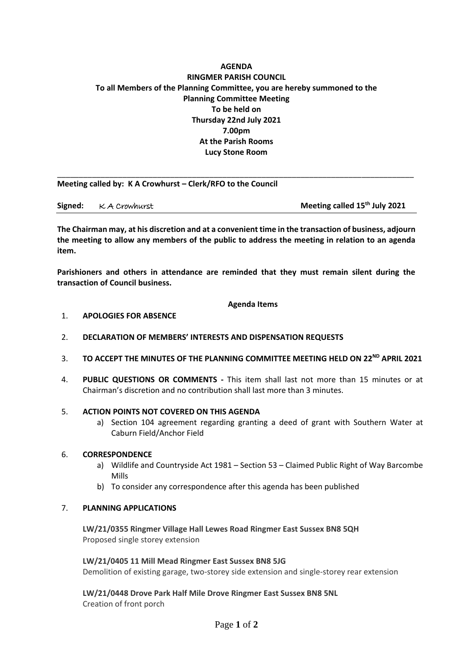# **AGENDA RINGMER PARISH COUNCIL To all Members of the Planning Committee, you are hereby summoned to the Planning Committee Meeting To be held on Thursday 22nd July 2021 7.00pm At the Parish Rooms Lucy Stone Room**

\_\_\_\_\_\_\_\_\_\_\_\_\_\_\_\_\_\_\_\_\_\_\_\_\_\_\_\_\_\_\_\_\_\_\_\_\_\_\_\_\_\_\_\_\_\_\_\_\_\_\_\_\_\_\_\_\_\_\_\_\_\_\_\_\_\_\_\_\_\_\_\_\_\_\_\_\_\_\_\_\_\_

**Meeting called by: K A Crowhurst – Clerk/RFO to the Council** 

**Signed:**  $\kappa$  A Crowhurst **Meeting called 15<sup>th</sup> July 2021** 

**The Chairman may, at his discretion and at a convenient time in the transaction of business, adjourn the meeting to allow any members of the public to address the meeting in relation to an agenda item.**

**Parishioners and others in attendance are reminded that they must remain silent during the transaction of Council business.**

**Agenda Items**

### 1. **APOLOGIES FOR ABSENCE**

- 2. **DECLARATION OF MEMBERS' INTERESTS AND DISPENSATION REQUESTS**
- 3. **TO ACCEPT THE MINUTES OF THE PLANNING COMMITTEE MEETING HELD ON 22<sup>ND</sup> APRIL 2021**
- 4. **PUBLIC QUESTIONS OR COMMENTS -** This item shall last not more than 15 minutes or at Chairman's discretion and no contribution shall last more than 3 minutes.

#### 5. **ACTION POINTS NOT COVERED ON THIS AGENDA**

a) Section 104 agreement regarding granting a deed of grant with Southern Water at Caburn Field/Anchor Field

#### 6. **CORRESPONDENCE**

- a) Wildlife and Countryside Act 1981 Section 53 Claimed Public Right of Way Barcombe Mills
- b) To consider any correspondence after this agenda has been published

### 7. **PLANNING APPLICATIONS**

**LW/21/0355 Ringmer Village Hall Lewes Road Ringmer East Sussex BN8 5QH** Proposed single storey extension

**LW/21/0405 11 Mill Mead Ringmer East Sussex BN8 5JG** Demolition of existing garage, two-storey side extension and single-storey rear extension

**LW/21/0448 Drove Park Half Mile Drove Ringmer East Sussex BN8 5NL** Creation of front porch